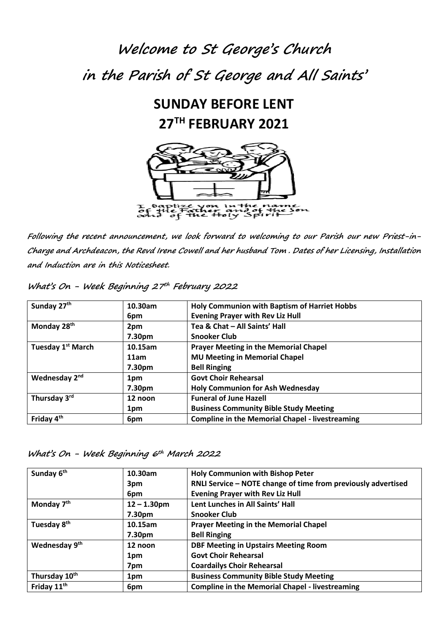# **Welcome to St George's Church in the Parish of St George and All Saints'**

### **SUNDAY BEFORE LENT 27 TH FEBRUARY 2021**



**Following the recent announcement, we look forward to welcoming to our Parish our new Priest-in-Charge and Archdeacon, the Revd Irene Cowell and her husband Tom . Dates of her Licensing, Installation and Induction are in this Noticesheet.**

| Sunday 27th                   | 10.30am | <b>Holy Communion with Baptism of Harriet Hobbs</b>    |  |
|-------------------------------|---------|--------------------------------------------------------|--|
|                               | 6pm     | <b>Evening Prayer with Rev Liz Hull</b>                |  |
| Monday 28 <sup>th</sup>       | 2pm     | Tea & Chat - All Saints' Hall                          |  |
|                               | 7.30pm  | <b>Snooker Club</b>                                    |  |
| Tuesday 1 <sup>st</sup> March | 10.15am | <b>Prayer Meeting in the Memorial Chapel</b>           |  |
|                               | 11am    | <b>MU Meeting in Memorial Chapel</b>                   |  |
|                               | 7.30pm  | <b>Bell Ringing</b>                                    |  |
| Wednesday 2 <sup>nd</sup>     | 1pm     | <b>Govt Choir Rehearsal</b>                            |  |
|                               | 7.30pm  | <b>Holy Communion for Ash Wednesday</b>                |  |
| Thursday 3rd                  | 12 noon | <b>Funeral of June Hazell</b>                          |  |
|                               | 1pm     | <b>Business Community Bible Study Meeting</b>          |  |
| Friday 4 <sup>th</sup>        | 6pm     | <b>Compline in the Memorial Chapel - livestreaming</b> |  |

**What's On - Week Beginning 27th February <sup>2022</sup>**

**What's On - Week Beginning 6th March <sup>2022</sup>**

| Sunday 6 <sup>th</sup>    | 10.30am        | <b>Holy Communion with Bishop Peter</b>                       |
|---------------------------|----------------|---------------------------------------------------------------|
|                           | 3pm            | RNLI Service - NOTE change of time from previously advertised |
|                           | 6pm            | <b>Evening Prayer with Rev Liz Hull</b>                       |
| Monday 7 <sup>th</sup>    | $12 - 1.30$ pm | Lent Lunches in All Saints' Hall                              |
|                           | 7.30pm         | <b>Snooker Club</b>                                           |
| Tuesday 8 <sup>th</sup>   | 10.15am        | <b>Prayer Meeting in the Memorial Chapel</b>                  |
|                           | 7.30pm         | <b>Bell Ringing</b>                                           |
| Wednesday 9 <sup>th</sup> | 12 noon        | <b>DBF Meeting in Upstairs Meeting Room</b>                   |
|                           | 1pm            | <b>Govt Choir Rehearsal</b>                                   |
|                           | 7pm            | <b>Coardailys Choir Rehearsal</b>                             |
| Thursday 10th             | 1pm            | <b>Business Community Bible Study Meeting</b>                 |
| Friday 11 <sup>th</sup>   | 6pm            | <b>Compline in the Memorial Chapel - livestreaming</b>        |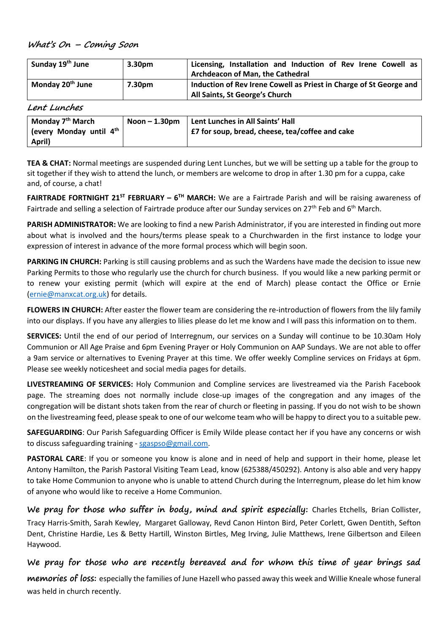#### **What's On – Coming Soon**

| Sunday 19 <sup>th</sup> June | 3.30 <sub>pm</sub> | Licensing, Installation and Induction of Rev Irene Cowell as<br><b>Archdeacon of Man, the Cathedral</b> |
|------------------------------|--------------------|---------------------------------------------------------------------------------------------------------|
| Monday 20 <sup>th</sup> June | 7.30pm             | Induction of Rev Irene Cowell as Priest in Charge of St George and<br>All Saints, St George's Church    |

#### **Lent Lunches**

| April) | Monday 7 <sup>th</sup> March<br>Gevery Monday until 4 <sup>th</sup> | $N$ oon $-1.30$ pm | Lent Lunches in All Saints' Hall<br>£7 for soup, bread, cheese, tea/coffee and cake |
|--------|---------------------------------------------------------------------|--------------------|-------------------------------------------------------------------------------------|
|--------|---------------------------------------------------------------------|--------------------|-------------------------------------------------------------------------------------|

**TEA & CHAT:** Normal meetings are suspended during Lent Lunches, but we will be setting up a table for the group to sit together if they wish to attend the lunch, or members are welcome to drop in after 1.30 pm for a cuppa, cake and, of course, a chat!

**FAIRTRADE FORTNIGHT 21ST FEBRUARY – 6 TH MARCH:** We are a Fairtrade Parish and will be raising awareness of Fairtrade and selling a selection of Fairtrade produce after our Sunday services on 27<sup>th</sup> Feb and 6<sup>th</sup> March.

**PARISH ADMINISTRATOR:** We are looking to find a new Parish Administrator, if you are interested in finding out more about what is involved and the hours/terms please speak to a Churchwarden in the first instance to lodge your expression of interest in advance of the more formal process which will begin soon.

**PARKING IN CHURCH:** Parking is still causing problems and as such the Wardens have made the decision to issue new Parking Permits to those who regularly use the church for church business. If you would like a new parking permit or to renew your existing permit (which will expire at the end of March) please contact the Office or Ernie [\(ernie@manxcat.org.uk\)](mailto:ernie@manxcat.org.uk) for details.

**FLOWERS IN CHURCH:** After easter the flower team are considering the re-introduction of flowers from the lily family into our displays. If you have any allergies to lilies please do let me know and I will pass this information on to them.

**SERVICES:** Until the end of our period of Interregnum, our services on a Sunday will continue to be 10.30am Holy Communion or All Age Praise and 6pm Evening Prayer or Holy Communion on AAP Sundays. We are not able to offer a 9am service or alternatives to Evening Prayer at this time. We offer weekly Compline services on Fridays at 6pm. Please see weekly noticesheet and social media pages for details.

**LIVESTREAMING OF SERVICES:** Holy Communion and Compline services are livestreamed via the Parish Facebook page. The streaming does not normally include close-up images of the congregation and any images of the congregation will be distant shots taken from the rear of church or fleeting in passing. If you do not wish to be shown on the livestreaming feed, please speak to one of our welcome team who will be happy to direct you to a suitable pew.

**SAFEGUARDING**: Our Parish Safeguarding Officer is Emily Wilde please contact her if you have any concerns or wish to discuss safeguarding training - [sgaspso@gmail.com.](mailto:sgaspso@gmail.com)

**PASTORAL CARE**: If you or someone you know is alone and in need of help and support in their home, please let Antony Hamilton, the Parish Pastoral Visiting Team Lead, know (625388/450292). Antony is also able and very happy to take Home Communion to anyone who is unable to attend Church during the Interregnum, please do let him know of anyone who would like to receive a Home Communion.

**We pray for those who suffer in body, mind and spirit especially:** Charles Etchells, Brian Collister, Tracy Harris-Smith, Sarah Kewley, Margaret Galloway, Revd Canon Hinton Bird, Peter Corlett, Gwen Dentith, Sefton Dent, Christine Hardie, Les & Betty Hartill, Winston Birtles, Meg Irving, Julie Matthews, Irene Gilbertson and Eileen Haywood.

#### **We pray for those who are recently bereaved and for whom this time of year brings sad**

**memories of loss:** especially the families of June Hazell who passed away this week and Willie Kneale whose funeral was held in church recently.